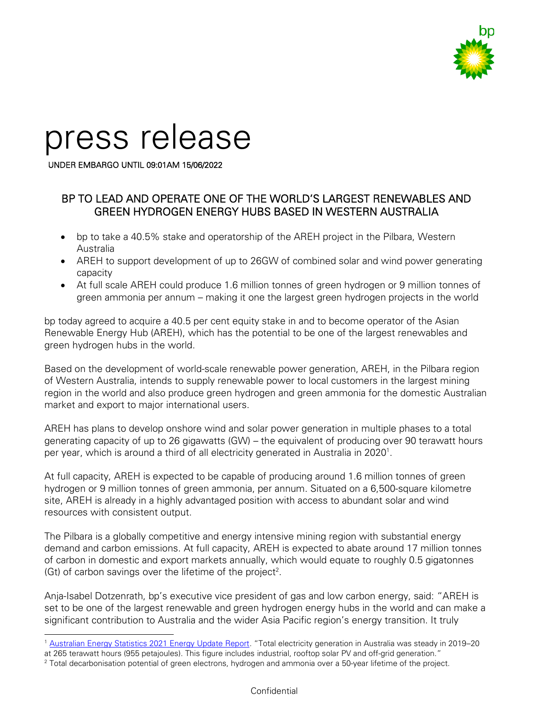

# press release

UNDER EMBARGO UNTIL 09:01AM 15/06/2022

## BP TO LEAD AND OPERATE ONE OF THE WORLD'S LARGEST RENEWABLES AND GREEN HYDROGEN ENERGY HUBS BASED IN WESTERN AUSTRALIA

- bp to take a 40.5% stake and operatorship of the AREH project in the Pilbara, Western Australia
- AREH to support development of up to 26GW of combined solar and wind power generating capacity
- At full scale AREH could produce 1.6 million tonnes of green hydrogen or 9 million tonnes of green ammonia per annum – making it one the largest green hydrogen projects in the world

bp today agreed to acquire a 40.5 per cent equity stake in and to become operator of the Asian Renewable Energy Hub (AREH), which has the potential to be one of the largest renewables and green hydrogen hubs in the world.

Based on the development of world-scale renewable power generation, AREH, in the Pilbara region of Western Australia, intends to supply renewable power to local customers in the largest mining region in the world and also produce green hydrogen and green ammonia for the domestic Australian market and export to major international users.

AREH has plans to develop onshore wind and solar power generation in multiple phases to a total generating capacity of up to 26 gigawatts (GW) – the equivalent of producing over 90 terawatt hours per year, which is around a third of all electricity generated in Australia in 2020<sup>1</sup>.

At full capacity, AREH is expected to be capable of producing around 1.6 million tonnes of green hydrogen or 9 million tonnes of green ammonia, per annum. Situated on a 6,500-square kilometre site, AREH is already in a highly advantaged position with access to abundant solar and wind resources with consistent output.

The Pilbara is a globally competitive and energy intensive mining region with substantial energy demand and carbon emissions. At full capacity, AREH is expected to abate around 17 million tonnes of carbon in domestic and export markets annually, which would equate to roughly 0.5 gigatonnes  $(Gt)$  of carbon savings over the lifetime of the project<sup>2</sup>.

Anja-Isabel Dotzenrath, bp's executive vice president of gas and low carbon energy, said: "AREH is set to be one of the largest renewable and green hydrogen energy hubs in the world and can make a significant contribution to Australia and the wider Asia Pacific region's energy transition. It truly

<sup>1</sup> [Australian Energy Statistics 2021 Energy Update Report](https://www.energy.gov.au/sites/default/files/Australian%20Energy%20Statistics%202021%20Energy%20Update%20Report.pdf). "Total electricity generation in Australia was steady in 2019–20

at 265 terawatt hours (955 petajoules). This figure includes industrial, rooftop solar PV and off-grid generation."

<sup>2</sup> Total decarbonisation potential of green electrons, hydrogen and ammonia over a 50-year lifetime of the project.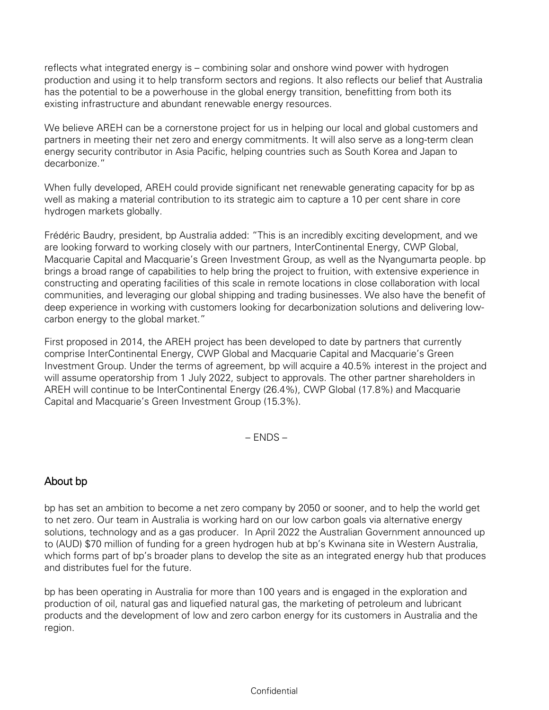reflects what integrated energy is – combining solar and onshore wind power with hydrogen production and using it to help transform sectors and regions. It also reflects our belief that Australia has the potential to be a powerhouse in the global energy transition, benefitting from both its existing infrastructure and abundant renewable energy resources.

We believe AREH can be a cornerstone project for us in helping our local and global customers and partners in meeting their net zero and energy commitments. It will also serve as a long-term clean energy security contributor in Asia Pacific, helping countries such as South Korea and Japan to decarbonize."

When fully developed, AREH could provide significant net renewable generating capacity for bp as well as making a material contribution to its strategic aim to capture a 10 per cent share in core hydrogen markets globally.

Frédéric Baudry, president, bp Australia added: "This is an incredibly exciting development, and we are looking forward to working closely with our partners, InterContinental Energy, CWP Global, Macquarie Capital and Macquarie's Green Investment Group, as well as the Nyangumarta people. bp brings a broad range of capabilities to help bring the project to fruition, with extensive experience in constructing and operating facilities of this scale in remote locations in close collaboration with local communities, and leveraging our global shipping and trading businesses. We also have the benefit of deep experience in working with customers looking for decarbonization solutions and delivering lowcarbon energy to the global market."

First proposed in 2014, the AREH project has been developed to date by partners that currently comprise InterContinental Energy, CWP Global and Macquarie Capital and Macquarie's Green Investment Group. Under the terms of agreement, bp will acquire a 40.5% interest in the project and will assume operatorship from 1 July 2022, subject to approvals. The other partner shareholders in AREH will continue to be InterContinental Energy (26.4%), CWP Global (17.8%) and Macquarie Capital and Macquarie's Green Investment Group (15.3%).

– ENDS –

# About bp

bp has set an ambition to become a net zero company by 2050 or sooner, and to help the world get to net zero. Our team in Australia is working hard on our low carbon goals via alternative energy solutions, technology and as a gas producer. In April 2022 the Australian Government announced up to (AUD) \$70 million of funding for a green hydrogen hub at bp's Kwinana site in Western Australia, which forms part of bp's broader plans to develop the site as an integrated energy hub that produces and distributes fuel for the future.

bp has been operating in Australia for more than 100 years and is engaged in the exploration and production of oil, natural gas and liquefied natural gas, the marketing of petroleum and lubricant products and the development of low and zero carbon energy for its customers in Australia and the region.